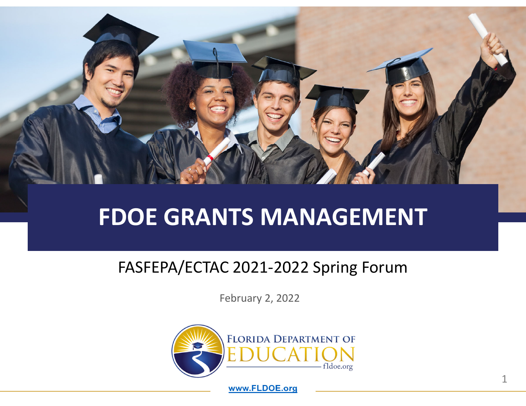

# **FDOE GRANTS MANAGEMENT**

#### FASFEPA/ECTAC 2021‐2022 Spring Forum

February 2, 2022



**www.FLDOE.org**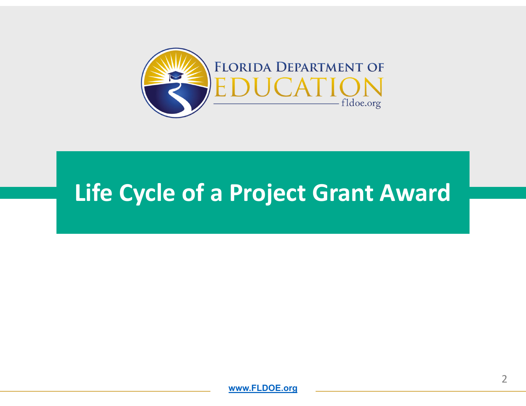

# **Life Cycle of <sup>a</sup> Project Grant Award**

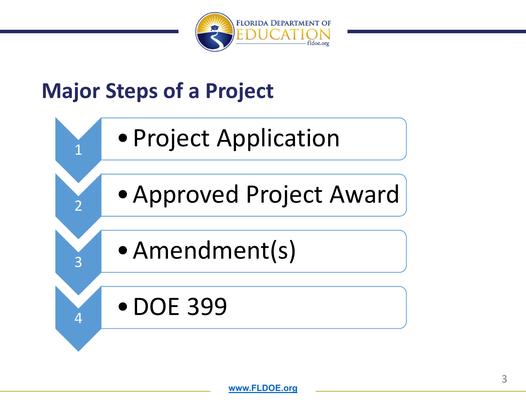

#### **Major Steps of <sup>a</sup> Project**

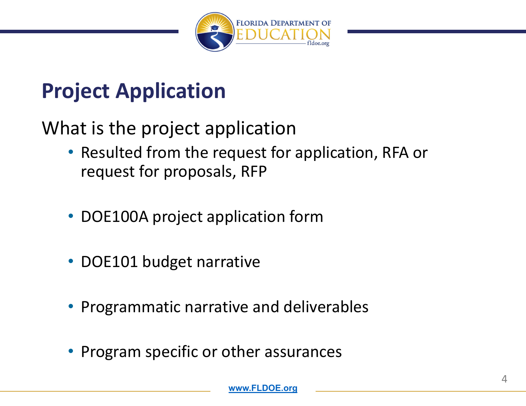

#### **Project Application**

What is the project application

- Resulted from the request for application, RFA or request for proposals, RFP
- DOE100A project application form
- DOE101 budget narrative
- Programmatic narrative and deliverables
- •Program specific or other assurances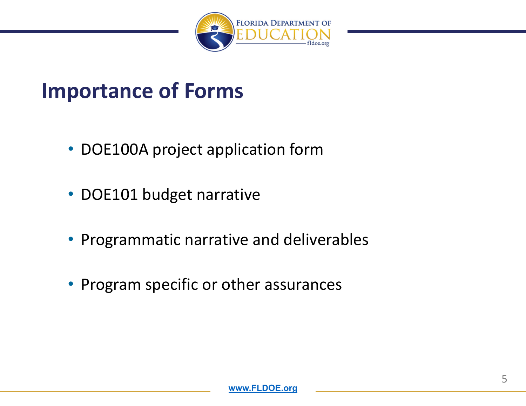

#### **Importance of Forms**

- DOE100A project application form
- DOE101 budget narrative
- Programmatic narrative and deliverables
- Program specific or other assurances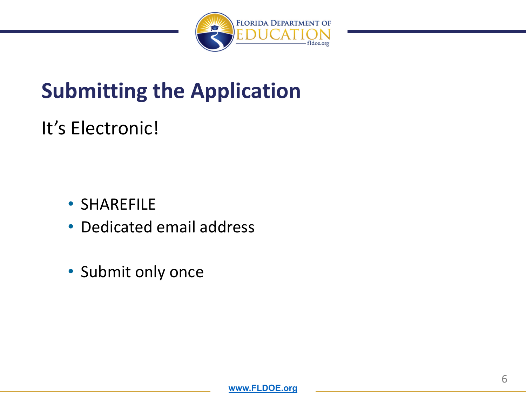

# **Submitting the Application**

#### It's Electronic!

- SHAREFILE
- Dedicated email address
- Submit only once

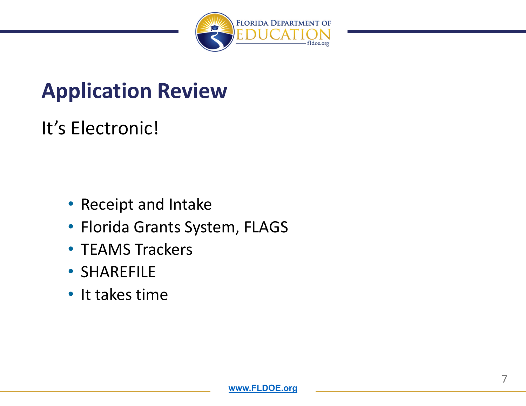

#### **Application Review**

#### It's Electronic!

- Receipt and Intake
- Florida Grants System, FLAGS
- TEAMS Trackers
- SHAREFILE
- It takes time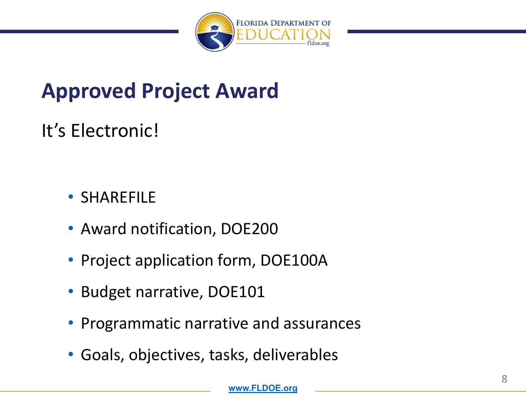

# **Approved Project Award**

#### It's Electronic!

#### • SHAREFILE

- Award notification, DOE200
- Project application form, DOE100A
- Budget narrative, DOE101
- Programmatic narrative and assurances
- Goals, objectives, tasks, deliverables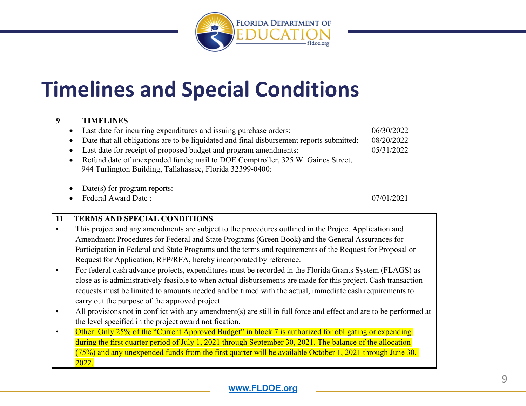

#### **Timelines and Special Conditions**

#### **9 TIMELINES**0 Last date for incurring expenditures and issuing purchase orders: 06/30/2022 0 Date that all obligations are to be liquidated and final disbursement reports submitted: 08/20/2022 0 Last date for receipt of proposed budget and program amendments: 05/31/2022 0 Refund date of unexpended funds; mail to DOE Comptroller, 325 W. Gaines Street, 944 Turlington Building, Tallahassee, Florida 32399-0400: 0 Date(s) for program reports: 0 Federal Award Date : 07/01/2021

#### **11 TERMS AND SPECIAL CONDITIONS**

- • This project and any amendments are subject to the procedures outlined in the Project Application and Amendment Procedures for Federal and State Programs (Green Book) and the General Assurances for Participation in Federal and State Programs and the terms and requirements of the Request for Proposal or Request for Application, RFP/RFA, hereby incorporated by reference.
- • For federal cash advance projects, expenditures must be recorded in the Florida Grants System (FLAGS) as close as is administratively feasible to when actual disbursements are made for this project. Cash transaction requests must be limited to amounts needed and be timed with the actual, immediate cash requirements to carry out the purpose of the approved project.
- • All provisions not in conflict with any amendment(s) are still in full force and effect and are to be performed at the level specified in the project award notification.
- •Other: Only 25% of the "Current Approved Budget" in block 7 is authorized for obligating or expending during the first quarter period of July 1, 2021 through September 30, 2021. The balance of the allocation  $(75%)$  and any unexpended funds from the first quarter will be available October 1, 2021 through June 30, 2022.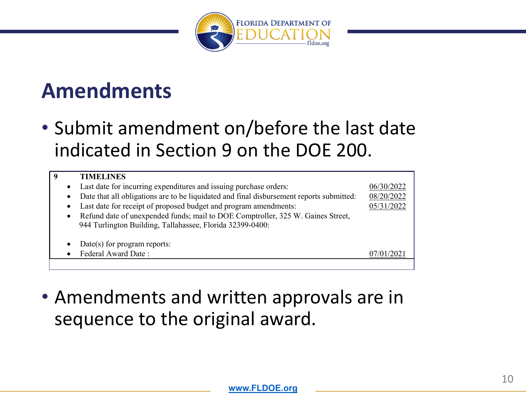

#### **Amendments**

• Submit amendment on/before the last date indicated in Section 9 on the DOE 200.

| 9 |           | <b>TIMELINES</b>                                                                         |            |
|---|-----------|------------------------------------------------------------------------------------------|------------|
|   | $\bullet$ | Last date for incurring expenditures and issuing purchase orders:                        | 06/30/2022 |
|   | $\bullet$ | Date that all obligations are to be liquidated and final disbursement reports submitted: | 08/20/2022 |
|   | $\bullet$ | Last date for receipt of proposed budget and program amendments:                         | 05/31/2022 |
|   | $\bullet$ | Refund date of unexpended funds; mail to DOE Comptroller, 325 W. Gaines Street,          |            |
|   |           | 944 Turlington Building, Tallahassee, Florida 32399-0400:                                |            |
|   |           |                                                                                          |            |
|   | $\bullet$ | $Date(s)$ for program reports:                                                           |            |
|   |           | Federal Award Date:                                                                      |            |
|   |           |                                                                                          |            |

• Amendments and written approvals are in sequence to the original award.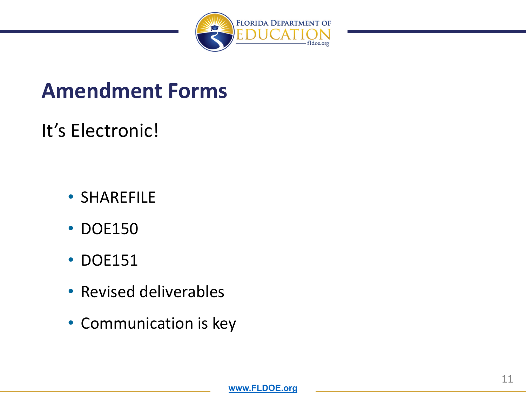

#### **Amendment Forms**

#### It's Electronic!

- SHAREFILE
- DOE150
- DOE151
- Revised deliverables
- Communication is key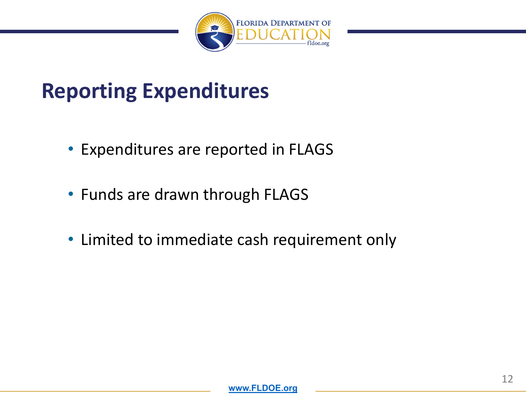

#### **Reporting Expenditures**

- Expenditures are reported in FLAGS
- Funds are drawn through FLAGS
- Limited to immediate cash requirement only

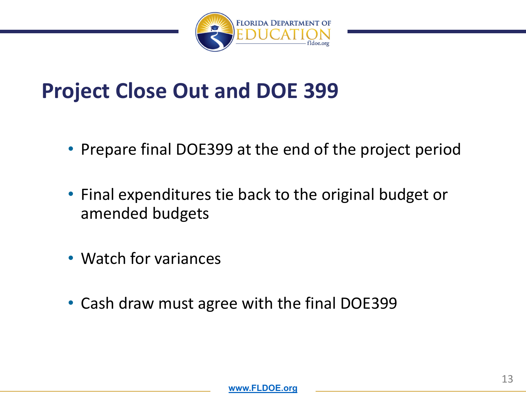

#### **Project Close Out and DOE 399**

- Prepare final DOE399 at the end of the project period
- Final expenditures tie back to the original budget or amended budgets
- Watch for variances
- Cash draw must agree with the final DOE399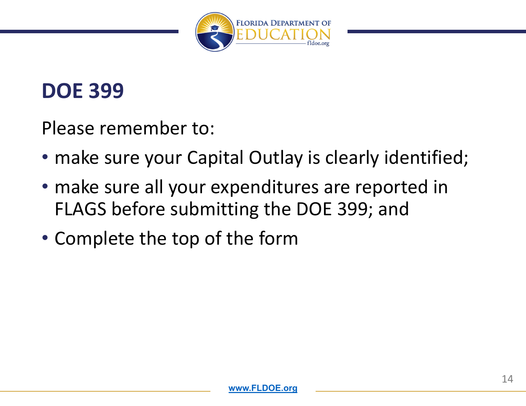

#### **DOE 399**

Please remember to:

- make sure your Capital Outlay is clearly identified;
- make sure all your expenditures are reported in FLAGS before submitting the DOE 399; and
- Complete the top of the form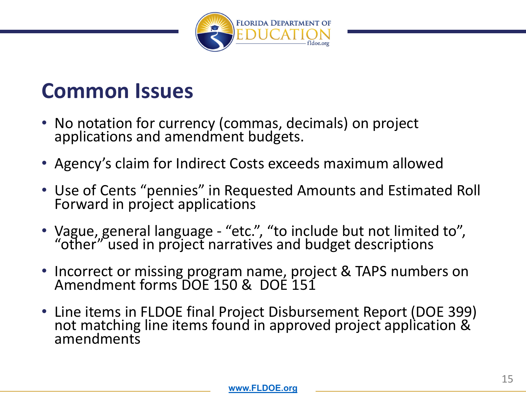

#### **Common Issues**

- •• No notation for currency (commas, decimals) on project applications and amendment budgets.
- Agency's claim for Indirect Costs exceeds maximum allowed
- Use of Cents "pennies" in Requested Amounts and Estimated Roll<br>Forward in project applications Forward in project applications
- Vague, general language "etc.", "to include but not limited to",<br>"other" used in project narratives and budget descriptions"
- Incorrect or missing program name, project & TAPS numbers on<br>Amendment forms DOE 150 & DOE 151 forms DOE 150 & DOE 151
- Line items in FLDOE final Project Disbursement Report (DOE 399) not matching line items found in approved project application &<br>amendments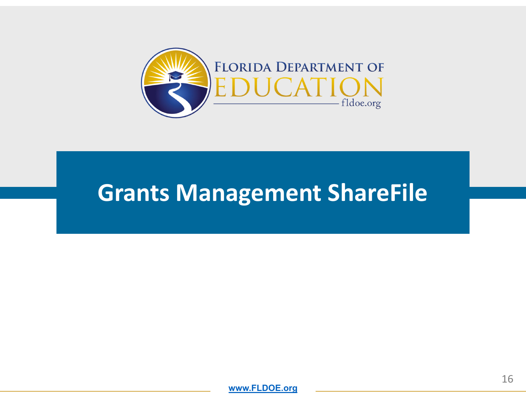

#### **Grants Management ShareFile**

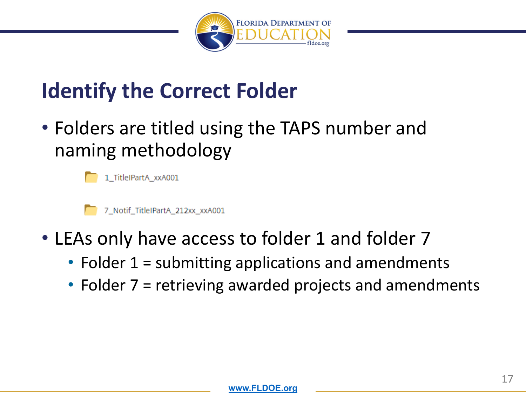

# **Identify the Correct Folder**

• Folders are titled using the TAPS number and naming methodology



1\_TitleIPartA\_xxA001



7\_Notif\_TitleIPartA\_212xx\_xxA001

- LEAs only have access to folder 1 and folder 7
	- Folder 1 <sup>=</sup> submitting applications and amendments
	- Folder 7 <sup>=</sup> retrieving awarded projects and amendments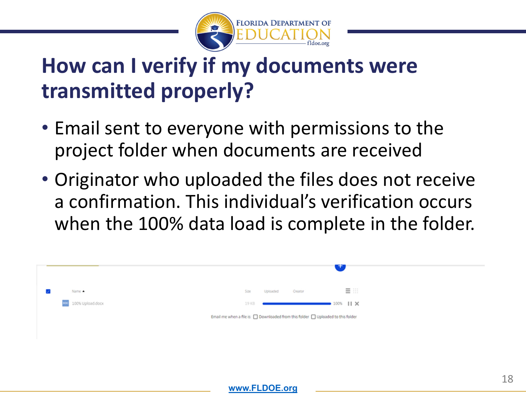

# **How can I verify if my documents were transmitted properly?**

- Email sent to everyone with permissions to the project folder when documents are received
- Originator who uploaded the files does not receive a confirmation. This individual's verification occurs when the 100% data load is complete in the folder.



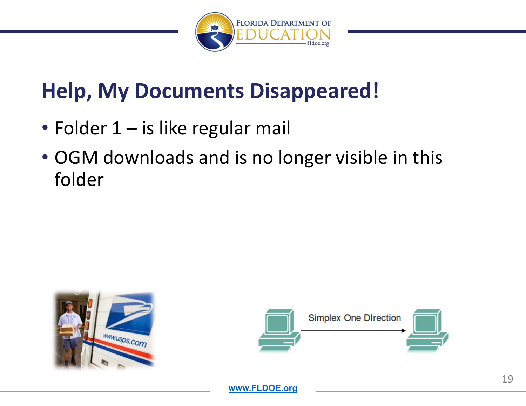

# **Help, My Documents Disappeared!**

- Folder 1 is like regular mail
- OGM downloads and is no longer visible in this folder



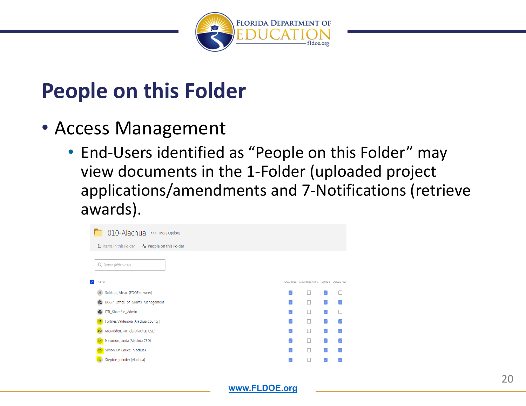

#### **People on this Folder**

- Access Management
	- End‐Users identified as "People on this Folder" may view documents in the 1‐Folder (uploaded project applications/amendments and 7‐Notifications (retrieve awards).

| 010-Alachua ··· More Options                              |                          |                                             |                          |                |  |  |  |
|-----------------------------------------------------------|--------------------------|---------------------------------------------|--------------------------|----------------|--|--|--|
| <b>D</b> Items in this Folder<br>Po People on this Folder |                          |                                             |                          |                |  |  |  |
| Q search folder users                                     |                          |                                             |                          |                |  |  |  |
| Name                                                      |                          | Download Download Alerts Upload Upload Aler |                          |                |  |  |  |
| Siddiqui, Ahsan (FDOE) (owner)<br>AS.                     | V                        | □                                           |                          | L              |  |  |  |
| BCGP_Office_of_Grants_Management<br>$\ddot{m}$            | $\mathscr{S}$            | П                                           | $\vert$ $\vert$          |                |  |  |  |
| DTI_Sharefile_Admin<br>ကိုး                               | $\overline{\mathscr{S}}$ | п                                           | $\overline{\mathcal{S}}$ | L              |  |  |  |
| Fortner, Valdenora (Alachua County)                       | $\mathcal{A}$            | п                                           | M                        |                |  |  |  |
| McFadden, Patricia (Alachua CSD)<br>PM                    | $\overline{\mathscr{S}}$ | п                                           | $\vert$ $\vert$          | V              |  |  |  |
| Newmon, Linda (Alachua CSD)<br>LN                         | V                        | П                                           | M                        | $\overline{J}$ |  |  |  |
| Simon, Dr. Carlee (Alachua)<br>DS                         | V                        | П                                           | $\vert$ $\vert$          | $\mathcal{A}$  |  |  |  |
| Steptoe, Jennifer (Alachua)                               |                          |                                             |                          |                |  |  |  |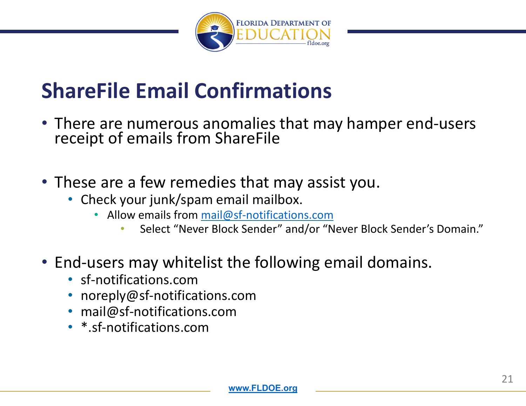

# **ShareFile Email Confirmations**

- There are numerous anomalies that may hamper end‐users receipt of emails from ShareFile
- These are <sup>a</sup> few remedies that may assist you.
	- Check your junk/spam email mailbox.
		- Allow emails from mail@sf‐notifications.com
			- •• Select "Never Block Sender" and/or "Never Block Sender's Domain."
- End‐users may whitelist the following email domains.
	- sf‐notifications.com
	- noreply@sf‐notifications.com
	- •mail@sf‐notifications.com
	- \*.sf‐notifications.com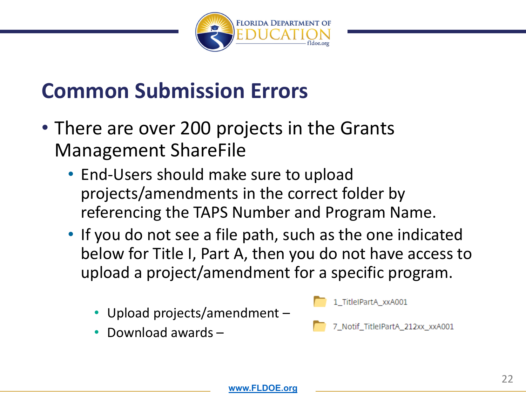

#### **Common Submission Errors**

- There are over 200 projects in the Grants Management ShareFile
	- End‐Users should make sure to upload projects/amendments in the correct folder by referencing the TAPS Number and Program Name.
	- If you do not see <sup>a</sup> file path, such as the one indicated below for Title I, Part A, then you do not have access to upload <sup>a</sup> project/amendment for <sup>a</sup> specific program.
		- •Upload projects/amendment –
		- •• Download awards –

1 TitleIPartA xxA001

7\_Notif\_TitleIPartA\_212xx\_xxA001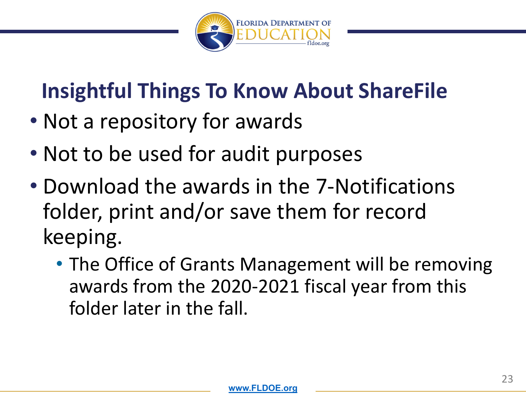

# **Insightful Things To Know About ShareFile**

- Not a repository for awards
- Not to be used for audit purposes
- Download the awards in the 7‐Notifications folder, print and/or save them for record keeping.
	- The Office of Grants Management will be removing awards from the 2020‐2021 fiscal year from this folder later in the fall.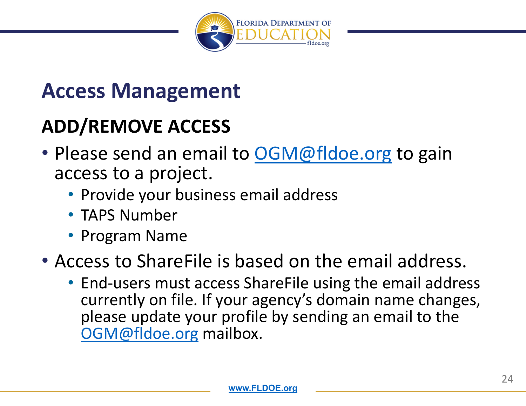

#### **Access Management**

#### **ADD/REMOVE ACCESS**

- Please send an email to **OGM@fldoe.org** to gain access to <sup>a</sup> project.
	- Provide your business email address
	- TAPS Number
	- Program Name

#### • Access to ShareFile is based on the email address.

• End‐users must access ShareFile using the email address currently on file. If your agency's domain name changes, please update your profile by sending an email to the OGM@fldoe.org mailbox.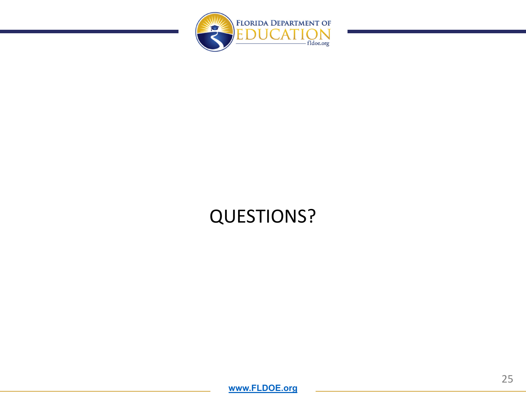

#### QUESTIONS?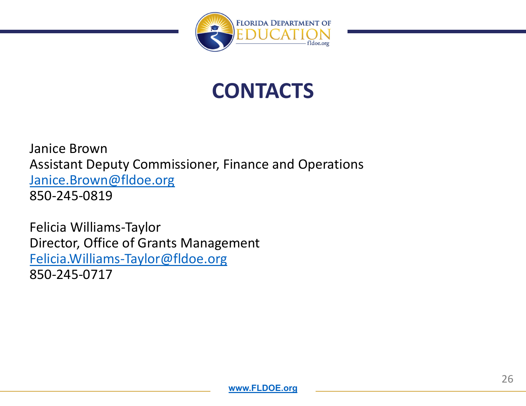

#### **CONTACTS**

Janice Brown Assistant Deputy Commissioner, Finance and Operations Janice.Brown@fldoe.org 850‐245‐0819

Felicia Williams‐Taylor Director, Office of Grants Management Felicia.Williams‐Taylor@fldoe.org 850‐245‐0717